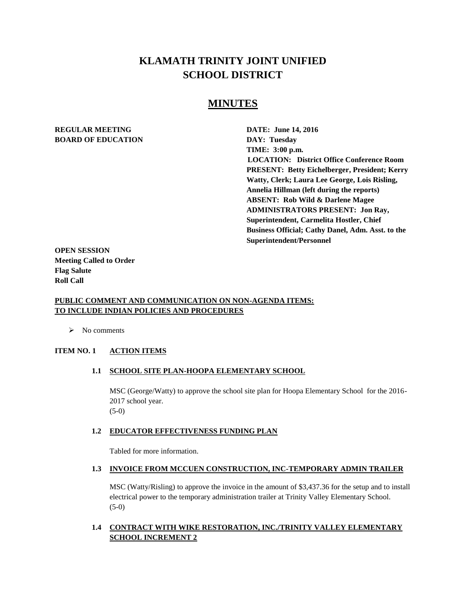# **KLAMATH TRINITY JOINT UNIFIED SCHOOL DISTRICT**

## **MINUTES**

## **REGULAR MEETING DATE: June 14, 2016 BOARD OF EDUCATION DAY: Tuesday**

**TIME: 3:00 p.m. LOCATION: District Office Conference Room PRESENT: Betty Eichelberger, President; Kerry Watty, Clerk; Laura Lee George, Lois Risling, Annelia Hillman (left during the reports) ABSENT: Rob Wild & Darlene Magee ADMINISTRATORS PRESENT: Jon Ray, Superintendent, Carmelita Hostler, Chief Business Official; Cathy Danel, Adm. Asst. to the Superintendent/Personnel** 

**OPEN SESSION Meeting Called to Order Flag Salute Roll Call**

## **PUBLIC COMMENT AND COMMUNICATION ON NON-AGENDA ITEMS: TO INCLUDE INDIAN POLICIES AND PROCEDURES**

 $\triangleright$  No comments

## **ITEM NO. 1 ACTION ITEMS**

## **1.1 SCHOOL SITE PLAN-HOOPA ELEMENTARY SCHOOL**

MSC (George/Watty) to approve the school site plan for Hoopa Elementary School for the 2016- 2017 school year. (5-0)

## **1.2 EDUCATOR EFFECTIVENESS FUNDING PLAN**

Tabled for more information.

#### **1.3 INVOICE FROM MCCUEN CONSTRUCTION, INC-TEMPORARY ADMIN TRAILER**

MSC (Watty/Risling) to approve the invoice in the amount of \$3,437.36 for the setup and to install electrical power to the temporary administration trailer at Trinity Valley Elementary School. (5-0)

## **1.4 CONTRACT WITH WIKE RESTORATION, INC./TRINITY VALLEY ELEMENTARY SCHOOL INCREMENT 2**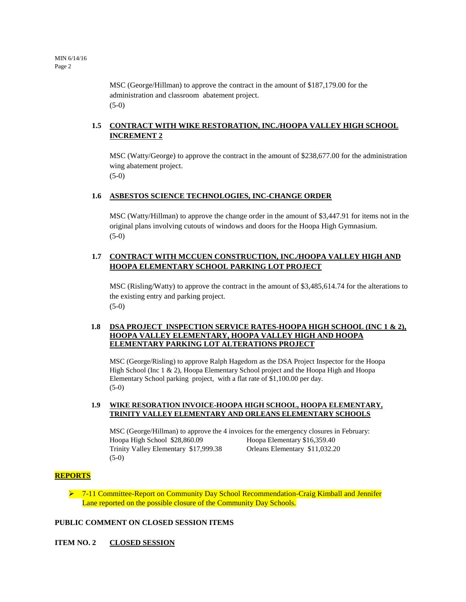MSC (George/Hillman) to approve the contract in the amount of \$187,179.00 for the administration and classroom abatement project. (5-0)

## **1.5 CONTRACT WITH WIKE RESTORATION, INC./HOOPA VALLEY HIGH SCHOOL INCREMENT 2**

MSC (Watty/George) to approve the contract in the amount of \$238,677.00 for the administration wing abatement project. (5-0)

#### **1.6 ASBESTOS SCIENCE TECHNOLOGIES, INC-CHANGE ORDER**

MSC (Watty/Hillman) to approve the change order in the amount of \$3,447.91 for items not in the original plans involving cutouts of windows and doors for the Hoopa High Gymnasium. (5-0)

## **1.7 CONTRACT WITH MCCUEN CONSTRUCTION, INC./HOOPA VALLEY HIGH AND HOOPA ELEMENTARY SCHOOL PARKING LOT PROJECT**

MSC (Risling/Watty) to approve the contract in the amount of \$3,485,614.74 for the alterations to the existing entry and parking project.  $(5-0)$ 

#### **1.8 DSA PROJECT INSPECTION SERVICE RATES-HOOPA HIGH SCHOOL (INC 1 & 2), HOOPA VALLEY ELEMENTARY, HOOPA VALLEY HIGH AND HOOPA ELEMENTARY PARKING LOT ALTERATIONS PROJECT**

MSC (George/Risling) to approve Ralph Hagedorn as the DSA Project Inspector for the Hoopa High School (Inc 1 & 2), Hoopa Elementary School project and the Hoopa High and Hoopa Elementary School parking project, with a flat rate of \$1,100.00 per day. (5-0)

#### **1.9 WIKE RESORATION INVOICE-HOOPA HIGH SCHOOL, HOOPA ELEMENTARY, TRINITY VALLEY ELEMENTARY AND ORLEANS ELEMENTARY SCHOOLS**

MSC (George/Hillman) to approve the 4 invoices for the emergency closures in February: Hoopa High School \$28,860.09 Hoopa Elementary \$16,359.40 Trinity Valley Elementary \$17,999.38 Orleans Elementary \$11,032.20 (5-0)

## **REPORTS**

▶ 7-11 Committee-Report on Community Day School Recommendation-Craig Kimball and Jennifer Lane reported on the possible closure of the Community Day Schools.

## **PUBLIC COMMENT ON CLOSED SESSION ITEMS**

**ITEM NO. 2 CLOSED SESSION**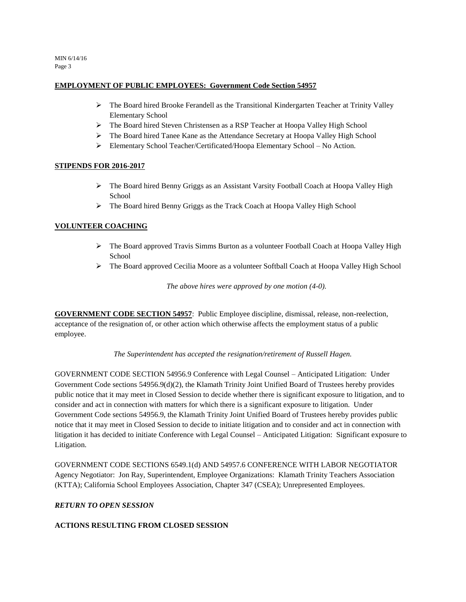MIN 6/14/16 Page 3

## **EMPLOYMENT OF PUBLIC EMPLOYEES: Government Code Section 54957**

- $\triangleright$  The Board hired Brooke Ferandell as the Transitional Kindergarten Teacher at Trinity Valley Elementary School
- The Board hired Steven Christensen as a RSP Teacher at Hoopa Valley High School
- The Board hired Tanee Kane as the Attendance Secretary at Hoopa Valley High School
- Elementary School Teacher/Certificated/Hoopa Elementary School No Action.

## **STIPENDS FOR 2016-2017**

- The Board hired Benny Griggs as an Assistant Varsity Football Coach at Hoopa Valley High School
- The Board hired Benny Griggs as the Track Coach at Hoopa Valley High School

## **VOLUNTEER COACHING**

- The Board approved Travis Simms Burton as a volunteer Football Coach at Hoopa Valley High School
- The Board approved Cecilia Moore as a volunteer Softball Coach at Hoopa Valley High School

*The above hires were approved by one motion (4-0).*

**GOVERNMENT CODE SECTION 54957**: Public Employee discipline, dismissal, release, non-reelection, acceptance of the resignation of, or other action which otherwise affects the employment status of a public employee.

*The Superintendent has accepted the resignation/retirement of Russell Hagen.*

GOVERNMENT CODE SECTION 54956.9 Conference with Legal Counsel – Anticipated Litigation: Under Government Code sections 54956.9(d)(2), the Klamath Trinity Joint Unified Board of Trustees hereby provides public notice that it may meet in Closed Session to decide whether there is significant exposure to litigation, and to consider and act in connection with matters for which there is a significant exposure to litigation. Under Government Code sections 54956.9, the Klamath Trinity Joint Unified Board of Trustees hereby provides public notice that it may meet in Closed Session to decide to initiate litigation and to consider and act in connection with litigation it has decided to initiate Conference with Legal Counsel – Anticipated Litigation: Significant exposure to Litigation.

GOVERNMENT CODE SECTIONS 6549.1(d) AND 54957.6 CONFERENCE WITH LABOR NEGOTIATOR Agency Negotiator: Jon Ray, Superintendent, Employee Organizations: Klamath Trinity Teachers Association (KTTA); California School Employees Association, Chapter 347 (CSEA); Unrepresented Employees.

## *RETURN TO OPEN SESSION*

## **ACTIONS RESULTING FROM CLOSED SESSION**